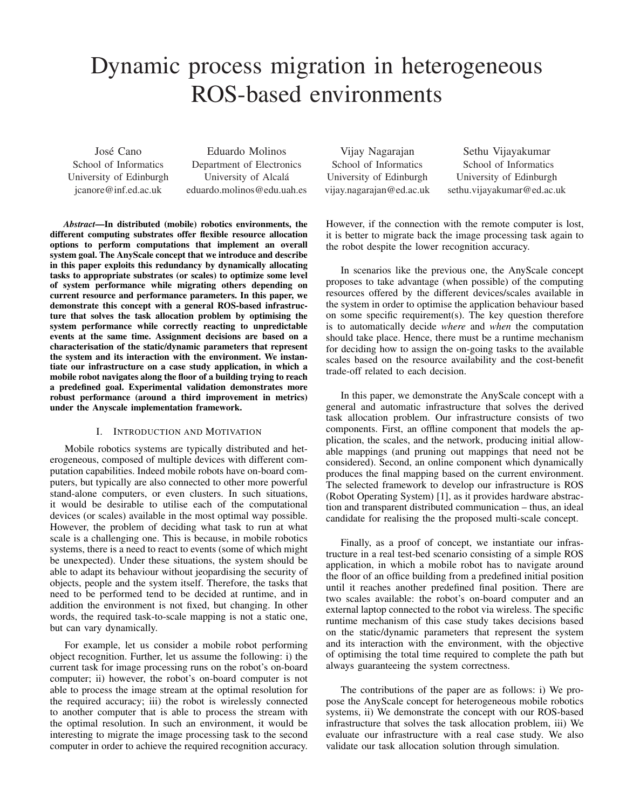# Dynamic process migration in heterogeneous ROS-based environments

José Cano School of Informatics University of Edinburgh jcanore@inf.ed.ac.uk

Eduardo Molinos Department of Electronics University of Alcala´ eduardo.molinos@edu.uah.es

*Abstract*—In distributed (mobile) robotics environments, the different computing substrates offer flexible resource allocation options to perform computations that implement an overall system goal. The AnyScale concept that we introduce and describe in this paper exploits this redundancy by dynamically allocating tasks to appropriate substrates (or scales) to optimize some level of system performance while migrating others depending on current resource and performance parameters. In this paper, we demonstrate this concept with a general ROS-based infrastructure that solves the task allocation problem by optimising the system performance while correctly reacting to unpredictable events at the same time. Assignment decisions are based on a characterisation of the static/dynamic parameters that represent the system and its interaction with the environment. We instantiate our infrastructure on a case study application, in which a mobile robot navigates along the floor of a building trying to reach a predefined goal. Experimental validation demonstrates more robust performance (around a third improvement in metrics) under the Anyscale implementation framework.

## I. INTRODUCTION AND MOTIVATION

Mobile robotics systems are typically distributed and heterogeneous, composed of multiple devices with different computation capabilities. Indeed mobile robots have on-board computers, but typically are also connected to other more powerful stand-alone computers, or even clusters. In such situations, it would be desirable to utilise each of the computational devices (or scales) available in the most optimal way possible. However, the problem of deciding what task to run at what scale is a challenging one. This is because, in mobile robotics systems, there is a need to react to events (some of which might be unexpected). Under these situations, the system should be able to adapt its behaviour without jeopardising the security of objects, people and the system itself. Therefore, the tasks that need to be performed tend to be decided at runtime, and in addition the environment is not fixed, but changing. In other words, the required task-to-scale mapping is not a static one, but can vary dynamically.

For example, let us consider a mobile robot performing object recognition. Further, let us assume the following: i) the current task for image processing runs on the robot's on-board computer; ii) however, the robot's on-board computer is not able to process the image stream at the optimal resolution for the required accuracy; iii) the robot is wirelessly connected to another computer that is able to process the stream with the optimal resolution. In such an environment, it would be interesting to migrate the image processing task to the second computer in order to achieve the required recognition accuracy.

Vijay Nagarajan School of Informatics University of Edinburgh vijay.nagarajan@ed.ac.uk

Sethu Vijayakumar School of Informatics University of Edinburgh sethu.vijayakumar@ed.ac.uk

However, if the connection with the remote computer is lost, it is better to migrate back the image processing task again to the robot despite the lower recognition accuracy.

In scenarios like the previous one, the AnyScale concept proposes to take advantage (when possible) of the computing resources offered by the different devices/scales available in the system in order to optimise the application behaviour based on some specific requirement(s). The key question therefore is to automatically decide *where* and *when* the computation should take place. Hence, there must be a runtime mechanism for deciding how to assign the on-going tasks to the available scales based on the resource availability and the cost-benefit trade-off related to each decision.

In this paper, we demonstrate the AnyScale concept with a general and automatic infrastructure that solves the derived task allocation problem. Our infrastructure consists of two components. First, an offline component that models the application, the scales, and the network, producing initial allowable mappings (and pruning out mappings that need not be considered). Second, an online component which dynamically produces the final mapping based on the current environment. The selected framework to develop our infrastructure is ROS (Robot Operating System) [1], as it provides hardware abstraction and transparent distributed communication – thus, an ideal candidate for realising the the proposed multi-scale concept.

Finally, as a proof of concept, we instantiate our infrastructure in a real test-bed scenario consisting of a simple ROS application, in which a mobile robot has to navigate around the floor of an office building from a predefined initial position until it reaches another predefined final position. There are two scales available: the robot's on-board computer and an external laptop connected to the robot via wireless. The specific runtime mechanism of this case study takes decisions based on the static/dynamic parameters that represent the system and its interaction with the environment, with the objective of optimising the total time required to complete the path but always guaranteeing the system correctness.

The contributions of the paper are as follows: i) We propose the AnyScale concept for heterogeneous mobile robotics systems, ii) We demonstrate the concept with our ROS-based infrastructure that solves the task allocation problem, iii) We evaluate our infrastructure with a real case study. We also validate our task allocation solution through simulation.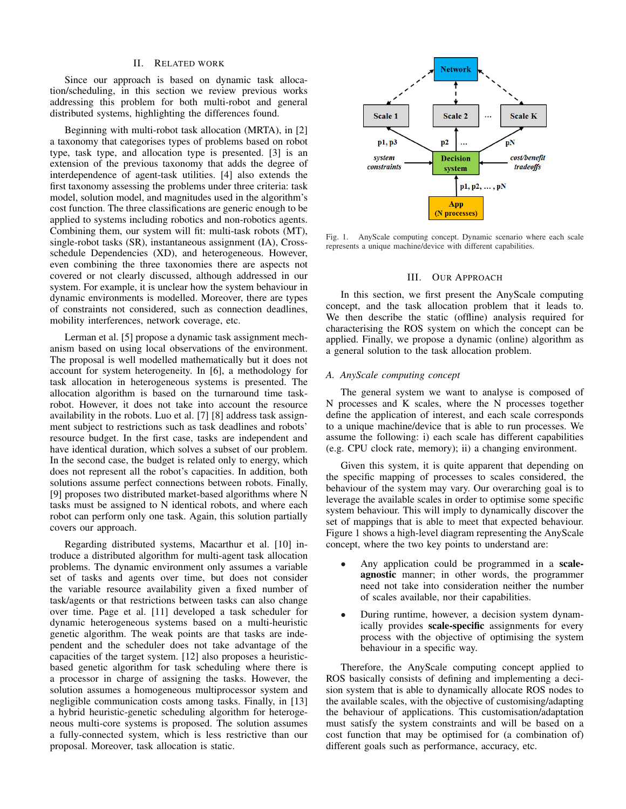#### II. RELATED WORK

Since our approach is based on dynamic task allocation/scheduling, in this section we review previous works addressing this problem for both multi-robot and general distributed systems, highlighting the differences found.

Beginning with multi-robot task allocation (MRTA), in [2] a taxonomy that categorises types of problems based on robot type, task type, and allocation type is presented. [3] is an extension of the previous taxonomy that adds the degree of interdependence of agent-task utilities. [4] also extends the first taxonomy assessing the problems under three criteria: task model, solution model, and magnitudes used in the algorithm's cost function. The three classifications are generic enough to be applied to systems including robotics and non-robotics agents. Combining them, our system will fit: multi-task robots (MT), single-robot tasks (SR), instantaneous assignment (IA), Crossschedule Dependencies (XD), and heterogeneous. However, even combining the three taxonomies there are aspects not covered or not clearly discussed, although addressed in our system. For example, it is unclear how the system behaviour in dynamic environments is modelled. Moreover, there are types of constraints not considered, such as connection deadlines, mobility interferences, network coverage, etc.

Lerman et al. [5] propose a dynamic task assignment mechanism based on using local observations of the environment. The proposal is well modelled mathematically but it does not account for system heterogeneity. In [6], a methodology for task allocation in heterogeneous systems is presented. The allocation algorithm is based on the turnaround time taskrobot. However, it does not take into account the resource availability in the robots. Luo et al. [7] [8] address task assignment subject to restrictions such as task deadlines and robots' resource budget. In the first case, tasks are independent and have identical duration, which solves a subset of our problem. In the second case, the budget is related only to energy, which does not represent all the robot's capacities. In addition, both solutions assume perfect connections between robots. Finally, [9] proposes two distributed market-based algorithms where N tasks must be assigned to N identical robots, and where each robot can perform only one task. Again, this solution partially covers our approach.

Regarding distributed systems, Macarthur et al. [10] introduce a distributed algorithm for multi-agent task allocation problems. The dynamic environment only assumes a variable set of tasks and agents over time, but does not consider the variable resource availability given a fixed number of task/agents or that restrictions between tasks can also change over time. Page et al. [11] developed a task scheduler for dynamic heterogeneous systems based on a multi-heuristic genetic algorithm. The weak points are that tasks are independent and the scheduler does not take advantage of the capacities of the target system. [12] also proposes a heuristicbased genetic algorithm for task scheduling where there is a processor in charge of assigning the tasks. However, the solution assumes a homogeneous multiprocessor system and negligible communication costs among tasks. Finally, in [13] a hybrid heuristic-genetic scheduling algorithm for heterogeneous multi-core systems is proposed. The solution assumes a fully-connected system, which is less restrictive than our proposal. Moreover, task allocation is static.



Fig. 1. AnyScale computing concept. Dynamic scenario where each scale represents a unique machine/device with different capabilities.

# III. OUR APPROACH

In this section, we first present the AnyScale computing concept, and the task allocation problem that it leads to. We then describe the static (offline) analysis required for characterising the ROS system on which the concept can be applied. Finally, we propose a dynamic (online) algorithm as a general solution to the task allocation problem.

# *A. AnyScale computing concept*

The general system we want to analyse is composed of N processes and K scales, where the N processes together define the application of interest, and each scale corresponds to a unique machine/device that is able to run processes. We assume the following: i) each scale has different capabilities (e.g. CPU clock rate, memory); ii) a changing environment.

Given this system, it is quite apparent that depending on the specific mapping of processes to scales considered, the behaviour of the system may vary. Our overarching goal is to leverage the available scales in order to optimise some specific system behaviour. This will imply to dynamically discover the set of mappings that is able to meet that expected behaviour. Figure 1 shows a high-level diagram representing the AnyScale concept, where the two key points to understand are:

- Any application could be programmed in a scaleagnostic manner; in other words, the programmer need not take into consideration neither the number of scales available, nor their capabilities.
- During runtime, however, a decision system dynamically provides scale-specific assignments for every process with the objective of optimising the system behaviour in a specific way.

Therefore, the AnyScale computing concept applied to ROS basically consists of defining and implementing a decision system that is able to dynamically allocate ROS nodes to the available scales, with the objective of customising/adapting the behaviour of applications. This customisation/adaptation must satisfy the system constraints and will be based on a cost function that may be optimised for (a combination of) different goals such as performance, accuracy, etc.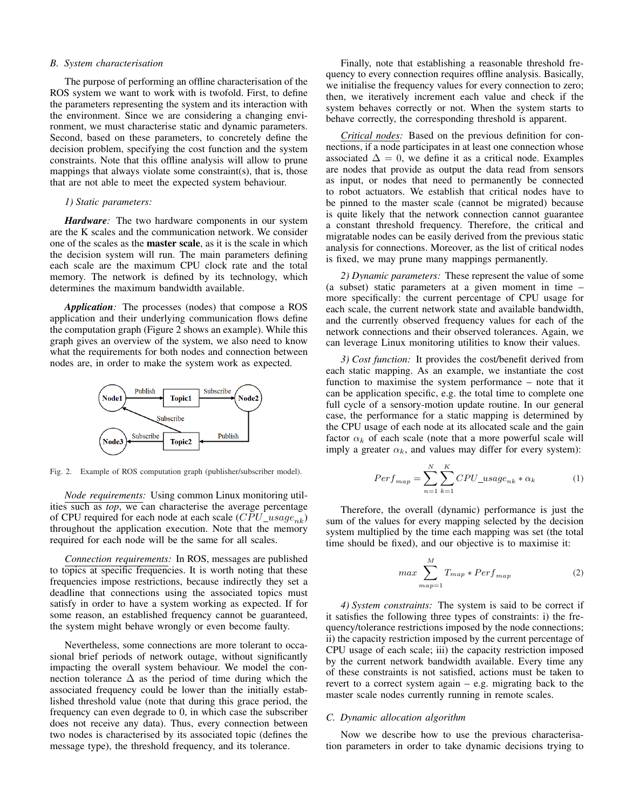## *B. System characterisation*

The purpose of performing an offline characterisation of the ROS system we want to work with is twofold. First, to define the parameters representing the system and its interaction with the environment. Since we are considering a changing environment, we must characterise static and dynamic parameters. Second, based on these parameters, to concretely define the decision problem, specifying the cost function and the system constraints. Note that this offline analysis will allow to prune mappings that always violate some constraint(s), that is, those that are not able to meet the expected system behaviour.

# *1) Static parameters:*

*Hardware:* The two hardware components in our system are the K scales and the communication network. We consider one of the scales as the master scale, as it is the scale in which the decision system will run. The main parameters defining each scale are the maximum CPU clock rate and the total memory. The network is defined by its technology, which determines the maximum bandwidth available.

*Application:* The processes (nodes) that compose a ROS application and their underlying communication flows define the computation graph (Figure 2 shows an example). While this graph gives an overview of the system, we also need to know what the requirements for both nodes and connection between nodes are, in order to make the system work as expected.



Fig. 2. Example of ROS computation graph (publisher/subscriber model).

*Node requirements:* Using common Linux monitoring utilities such as *top*, we can characterise the average percentage of CPU required for each node at each scale  $(CPU\_usage_{nk})$ throughout the application execution. Note that the memory required for each node will be the same for all scales.

*Connection requirements:* In ROS, messages are published to topics at specific frequencies. It is worth noting that these frequencies impose restrictions, because indirectly they set a deadline that connections using the associated topics must satisfy in order to have a system working as expected. If for some reason, an established frequency cannot be guaranteed, the system might behave wrongly or even become faulty.

Nevertheless, some connections are more tolerant to occasional brief periods of network outage, without significantly impacting the overall system behaviour. We model the connection tolerance  $\Delta$  as the period of time during which the associated frequency could be lower than the initially established threshold value (note that during this grace period, the frequency can even degrade to 0, in which case the subscriber does not receive any data). Thus, every connection between two nodes is characterised by its associated topic (defines the message type), the threshold frequency, and its tolerance.

Finally, note that establishing a reasonable threshold frequency to every connection requires offline analysis. Basically, we initialise the frequency values for every connection to zero; then, we iteratively increment each value and check if the system behaves correctly or not. When the system starts to behave correctly, the corresponding threshold is apparent.

*Critical nodes:* Based on the previous definition for connections, if a node participates in at least one connection whose associated  $\Delta = 0$ , we define it as a critical node. Examples are nodes that provide as output the data read from sensors as input, or nodes that need to permanently be connected to robot actuators. We establish that critical nodes have to be pinned to the master scale (cannot be migrated) because is quite likely that the network connection cannot guarantee a constant threshold frequency. Therefore, the critical and migratable nodes can be easily derived from the previous static analysis for connections. Moreover, as the list of critical nodes is fixed, we may prune many mappings permanently.

*2) Dynamic parameters:* These represent the value of some (a subset) static parameters at a given moment in time – more specifically: the current percentage of CPU usage for each scale, the current network state and available bandwidth, and the currently observed frequency values for each of the network connections and their observed tolerances. Again, we can leverage Linux monitoring utilities to know their values.

*3) Cost function:* It provides the cost/benefit derived from each static mapping. As an example, we instantiate the cost function to maximise the system performance – note that it can be application specific, e.g. the total time to complete one full cycle of a sensory-motion update routine. In our general case, the performance for a static mapping is determined by the CPU usage of each node at its allocated scale and the gain factor  $\alpha_k$  of each scale (note that a more powerful scale will imply a greater  $\alpha_k$ , and values may differ for every system):

$$
Perf_{map} = \sum_{n=1}^{N} \sum_{k=1}^{K} CPU\_usage_{nk} * \alpha_k
$$
 (1)

Therefore, the overall (dynamic) performance is just the sum of the values for every mapping selected by the decision system multiplied by the time each mapping was set (the total time should be fixed), and our objective is to maximise it:

$$
max \sum_{map=1}^{M} T_{map} * Perf_{map}
$$
 (2)

*4) System constraints:* The system is said to be correct if it satisfies the following three types of constraints: i) the frequency/tolerance restrictions imposed by the node connections; ii) the capacity restriction imposed by the current percentage of CPU usage of each scale; iii) the capacity restriction imposed by the current network bandwidth available. Every time any of these constraints is not satisfied, actions must be taken to revert to a correct system again – e.g. migrating back to the master scale nodes currently running in remote scales.

## *C. Dynamic allocation algorithm*

Now we describe how to use the previous characterisation parameters in order to take dynamic decisions trying to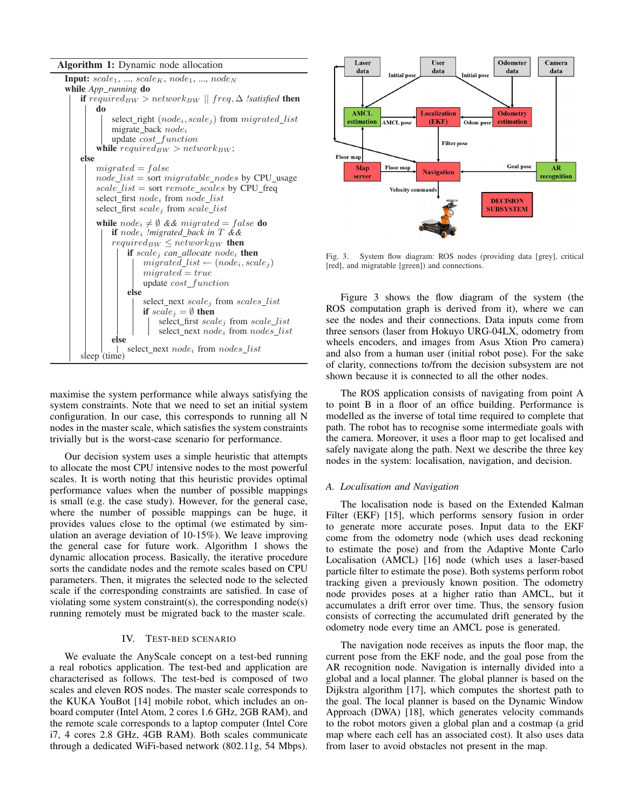#### Algorithm 1: Dynamic node allocation



maximise the system performance while always satisfying the system constraints. Note that we need to set an initial system configuration. In our case, this corresponds to running all N nodes in the master scale, which satisfies the system constraints trivially but is the worst-case scenario for performance.

Our decision system uses a simple heuristic that attempts to allocate the most CPU intensive nodes to the most powerful scales. It is worth noting that this heuristic provides optimal performance values when the number of possible mappings is small (e.g. the case study). However, for the general case, where the number of possible mappings can be huge, it provides values close to the optimal (we estimated by simulation an average deviation of 10-15%). We leave improving the general case for future work. Algorithm 1 shows the dynamic allocation process. Basically, the iterative procedure sorts the candidate nodes and the remote scales based on CPU parameters. Then, it migrates the selected node to the selected scale if the corresponding constraints are satisfied. In case of violating some system constraint(s), the corresponding node(s) running remotely must be migrated back to the master scale.

# IV. TEST-BED SCENARIO

We evaluate the AnyScale concept on a test-bed running a real robotics application. The test-bed and application are characterised as follows. The test-bed is composed of two scales and eleven ROS nodes. The master scale corresponds to the KUKA YouBot [14] mobile robot, which includes an onboard computer (Intel Atom, 2 cores 1.6 GHz, 2GB RAM), and the remote scale corresponds to a laptop computer (Intel Core i7, 4 cores 2.8 GHz, 4GB RAM). Both scales communicate through a dedicated WiFi-based network (802.11g, 54 Mbps).



Fig. 3. System flow diagram: ROS nodes (providing data [grey], critical [red], and migratable [green]) and connections.

Figure 3 shows the flow diagram of the system (the ROS computation graph is derived from it), where we can see the nodes and their connections. Data inputs come from three sensors (laser from Hokuyo URG-04LX, odometry from wheels encoders, and images from Asus Xtion Pro camera) and also from a human user (initial robot pose). For the sake of clarity, connections to/from the decision subsystem are not shown because it is connected to all the other nodes.

The ROS application consists of navigating from point A to point B in a floor of an office building. Performance is modelled as the inverse of total time required to complete that path. The robot has to recognise some intermediate goals with the camera. Moreover, it uses a floor map to get localised and safely navigate along the path. Next we describe the three key nodes in the system: localisation, navigation, and decision.

#### *A. Localisation and Navigation*

The localisation node is based on the Extended Kalman Filter (EKF) [15], which performs sensory fusion in order to generate more accurate poses. Input data to the EKF come from the odometry node (which uses dead reckoning to estimate the pose) and from the Adaptive Monte Carlo Localisation (AMCL) [16] node (which uses a laser-based particle filter to estimate the pose). Both systems perform robot tracking given a previously known position. The odometry node provides poses at a higher ratio than AMCL, but it accumulates a drift error over time. Thus, the sensory fusion consists of correcting the accumulated drift generated by the odometry node every time an AMCL pose is generated.

The navigation node receives as inputs the floor map, the current pose from the EKF node, and the goal pose from the AR recognition node. Navigation is internally divided into a global and a local planner. The global planner is based on the Dijkstra algorithm [17], which computes the shortest path to the goal. The local planner is based on the Dynamic Window Approach (DWA) [18], which generates velocity commands to the robot motors given a global plan and a costmap (a grid map where each cell has an associated cost). It also uses data from laser to avoid obstacles not present in the map.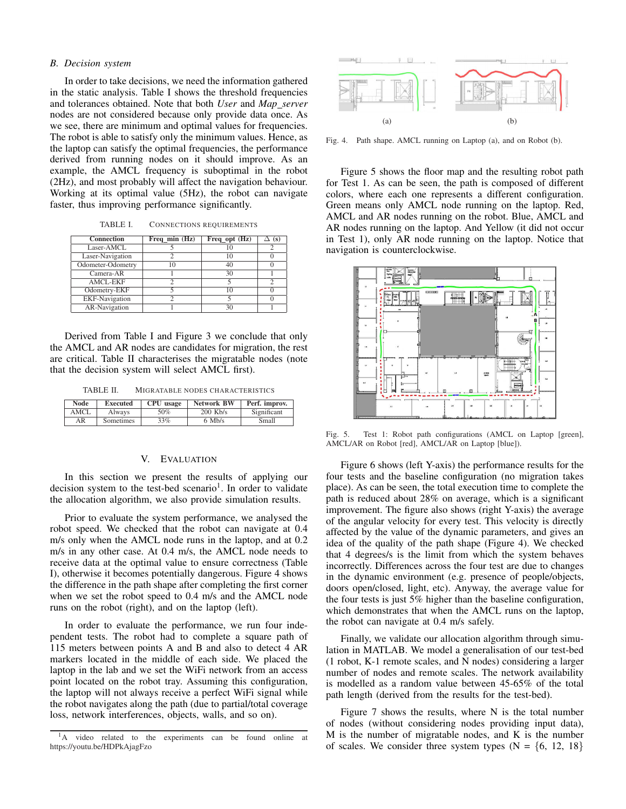## *B. Decision system*

In order to take decisions, we need the information gathered in the static analysis. Table I shows the threshold frequencies and tolerances obtained. Note that both *User* and *Map server* nodes are not considered because only provide data once. As we see, there are minimum and optimal values for frequencies. The robot is able to satisfy only the minimum values. Hence, as the laptop can satisfy the optimal frequencies, the performance derived from running nodes on it should improve. As an example, the AMCL frequency is suboptimal in the robot (2Hz), and most probably will affect the navigation behaviour. Working at its optimal value (5Hz), the robot can navigate faster, thus improving performance significantly.

TABLE I. CONNECTIONS REQUIREMENTS

| <b>Connection</b>     | Freq min $(Hz)$ | Freq_opt (Hz) | $\Delta$ (s) |
|-----------------------|-----------------|---------------|--------------|
| Laser-AMCL            |                 |               |              |
| Laser-Navigation      |                 | 10            |              |
| Odometer-Odometry     | 10              | 40            |              |
| Camera-AR             |                 | 30            |              |
| <b>AMCL-EKF</b>       |                 |               |              |
| Odometry-EKF          |                 | 10            |              |
| <b>EKF-Navigation</b> |                 |               |              |
| AR-Navigation         |                 | 30            |              |

Derived from Table I and Figure 3 we conclude that only the AMCL and AR nodes are candidates for migration, the rest are critical. Table II characterises the migratable nodes (note that the decision system will select AMCL first).

TABLE II. MIGRATABLE NODES CHARACTERISTICS

| Node | <b>Executed</b> | CPU usage | <b>Network BW</b> | Perf. improv. |
|------|-----------------|-----------|-------------------|---------------|
| AMCL | Always          | 50%       | $200$ Kb/s        | Significant   |
| AR   | Sometimes       | 33%       | $6$ Mb/s          | <b>Small</b>  |

#### V. EVALUATION

In this section we present the results of applying our decision system to the test-bed scenario<sup>1</sup>. In order to validate the allocation algorithm, we also provide simulation results.

Prior to evaluate the system performance, we analysed the robot speed. We checked that the robot can navigate at 0.4 m/s only when the AMCL node runs in the laptop, and at 0.2 m/s in any other case. At 0.4 m/s, the AMCL node needs to receive data at the optimal value to ensure correctness (Table I), otherwise it becomes potentially dangerous. Figure 4 shows the difference in the path shape after completing the first corner when we set the robot speed to 0.4 m/s and the AMCL node runs on the robot (right), and on the laptop (left).

In order to evaluate the performance, we run four independent tests. The robot had to complete a square path of 115 meters between points A and B and also to detect 4 AR markers located in the middle of each side. We placed the laptop in the lab and we set the WiFi network from an access point located on the robot tray. Assuming this configuration, the laptop will not always receive a perfect WiFi signal while the robot navigates along the path (due to partial/total coverage loss, network interferences, objects, walls, and so on).



Fig. 4. Path shape. AMCL running on Laptop (a), and on Robot (b).

Figure 5 shows the floor map and the resulting robot path for Test 1. As can be seen, the path is composed of different colors, where each one represents a different configuration. Green means only AMCL node running on the laptop. Red, AMCL and AR nodes running on the robot. Blue, AMCL and AR nodes running on the laptop. And Yellow (it did not occur in Test 1), only AR node running on the laptop. Notice that navigation is counterclockwise.



Fig. 5. Test 1: Robot path configurations (AMCL on Laptop [green], AMCL/AR on Robot [red], AMCL/AR on Laptop [blue]).

Figure 6 shows (left Y-axis) the performance results for the four tests and the baseline configuration (no migration takes place). As can be seen, the total execution time to complete the path is reduced about 28% on average, which is a significant improvement. The figure also shows (right Y-axis) the average of the angular velocity for every test. This velocity is directly affected by the value of the dynamic parameters, and gives an idea of the quality of the path shape (Figure 4). We checked that 4 degrees/s is the limit from which the system behaves incorrectly. Differences across the four test are due to changes in the dynamic environment (e.g. presence of people/objects, doors open/closed, light, etc). Anyway, the average value for the four tests is just 5% higher than the baseline configuration, which demonstrates that when the AMCL runs on the laptop, the robot can navigate at 0.4 m/s safely.

Finally, we validate our allocation algorithm through simulation in MATLAB. We model a generalisation of our test-bed (1 robot, K-1 remote scales, and N nodes) considering a larger number of nodes and remote scales. The network availability is modelled as a random value between 45-65% of the total path length (derived from the results for the test-bed).

Figure 7 shows the results, where N is the total number of nodes (without considering nodes providing input data), M is the number of migratable nodes, and K is the number of scales. We consider three system types ( $N = \{6, 12, 18\}$ )

<sup>&</sup>lt;sup>1</sup>A video related to the experiments can be found online at https://youtu.be/HDPkAjagFzo